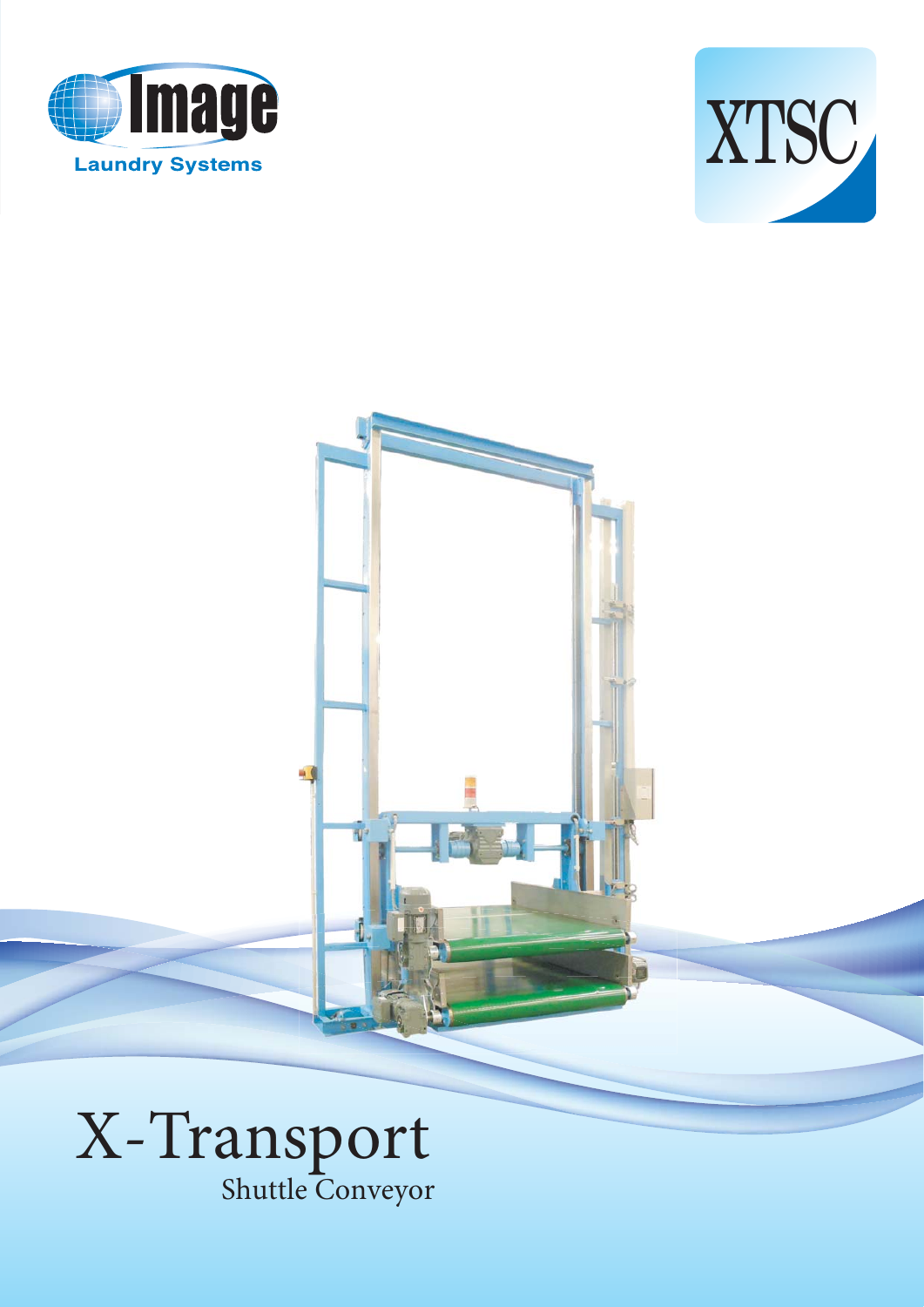